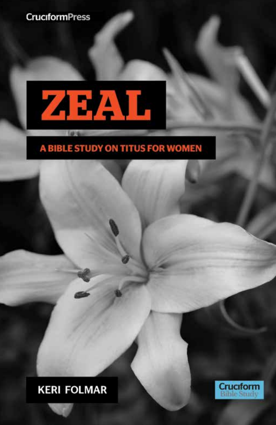# **CruciformPress**

 $-101$ 

# ZEAT.

# A BIBLE STUDY ON TITUS FOR WOMEN

# **KERI FOLMAR**

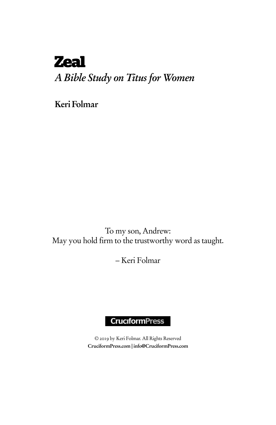# **Zeal** *A Bible Study on Titus for Women*

**Keri Folmar**

To my son, Andrew: May you hold firm to the trustworthy word as taught.

– Keri Folmar

### **CruciformPress**

© 2019 by Keri Folmar. All Rights Reserved **CruciformPress.com | info@CruciformPress.com**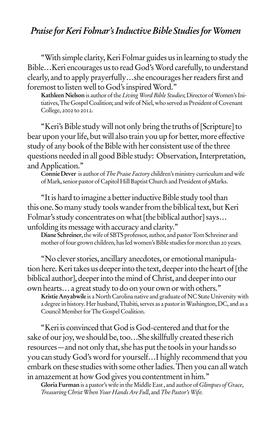# *Praise for Keri Folmar's Inductive Bible Studies for Women*

"With simple clarity, Keri Folmar guides us in learning to study the Bible…Keri encourages us to read God's Word carefully, to understand clearly, and to apply prayerfully…she encourages her readers first and foremost to listen well to God's inspired Word."

**Kathleen Nielson** is author of the*Living Word Bible Studies*; Director of Women's Initiatives, The Gospel Coalition; and wife of Niel, who served as President of Covenant College, 2002 to 2012.

"Keri's Bible study will not only bring the truths of [Scripture] to bear upon your life, but will also train you up for better, more effective study of any book of the Bible with her consistent use of the three questions needed in all good Bible study: Observation, Interpretation, and Application."

**Connie Dever** is author of*The Praise Factory* children's ministry curriculum and wife of Mark, senior pastor of Capitol Hill Baptist Church and President of 9Marks.

"It is hard to imagine a better inductive Bible study tool than this one. So many study tools wander from the biblical text, but Keri Folmar's study concentrates on what [the biblical author] says… unfolding its message with accuracy and clarity."

**Diane Schreiner**, the wife of SBTS professor, author, and pastor Tom Schreiner and mother of four grown children, has led women's Bible studies for more than 20 years.

"No clever stories, ancillary anecdotes, or emotional manipulation here. Keri takes us deeper into the text, deeper into the heart of [the biblical author], deeper into the mind of Christ, and deeper into our own hearts… a great study to do on your own or with others."

**Kristie Anyabwile** is a North Carolina native and graduate of NC State University with a degree in history. Her husband, Thabiti, serves as a pastor in Washington, DC, and as a Council Member for The Gospel Coalition.

"Keri is convinced that God is God-centered and that for the sake of our joy, we should be, too…She skillfully created these rich resources—and not only that, she has put the tools in your hands so you can study God's word for yourself…I highly recommend that you embark on these studies with some other ladies. Then you can all watch in amazement at how God gives you contentment in him."

**Gloria Furman** is a pastor's wife in the Middle East , and author of *Glimpses of Grace*, *Treasuring Christ When Your Hands Are Full*, and *The Pastor's Wife.*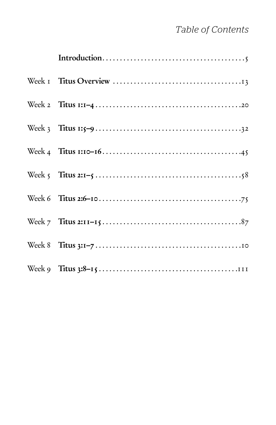# Table of Contents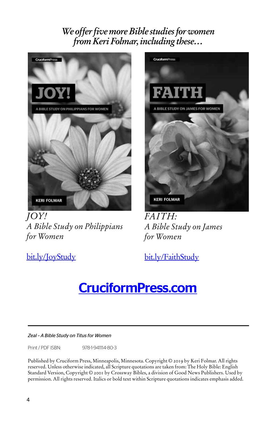# *We offer five more Bible studies for women from Keri Folmar, including these…*



*JOY! A Bible Study on Philippians for Women*



*FAITH: A Bible Study on James for Women*

[bit.ly/JoyStudy](http://bit.ly/JoyStudy)

[bit.ly/FaithStudy](http://bit.ly/FaithStudy)

# [CruciformPress.com](http://CruciformPress.com)

#### *Zeal – A Bible Study on Titus for Women*

Print / PDF ISBN: 978-1-941114-80-3

Published by Cruciform Press, Minneapolis, Minnesota. Copyright © 2019 by Keri Folmar. All rights reserved. Unless otherwise indicated, all Scripture quotations are taken from: The Holy Bible: English Standard Version, Copyright © 2001 by Crossway Bibles, a division of Good News Publishers. Used by permission. All rights reserved. Italics or bold text within Scripture quotations indicates emphasis added.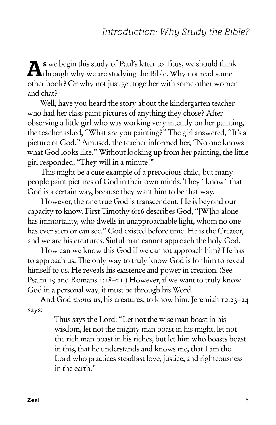As we begin this study of Paul's letter to Titus, we should think **The studying the Bible.** Why not read some other book? Or why not just get together with some other women and chat?

Well, have you heard the story about the kindergarten teacher who had her class paint pictures of anything they chose? After observing a little girl who was working very intently on her painting, the teacher asked, "What are you painting?" The girl answered, "It's a picture of God." Amused, the teacher informed her, "No one knows what God looks like." Without looking up from her painting, the little girl responded, "They will in a minute!"

This might be a cute example of a precocious child, but many people paint pictures of God in their own minds. They "know" that God is a certain way, because they want him to be that way.

However, the one true God is transcendent. He is beyond our capacity to know. First Timothy 6:16 describes God, "[W]ho alone has immortality, who dwells in unapproachable light, whom no one has ever seen or can see." God existed before time. He is the Creator, and we are his creatures. Sinful man cannot approach the holy God.

How can we know this God if we cannot approach him? He has to approach us. The only way to truly know God is for him to reveal himself to us. He reveals his existence and power in creation. (See Psalm 19 and Romans 1:18–21.) However, if we want to truly know God in a personal way, it must be through his Word.

And God *wants* us, his creatures, to know him. Jeremiah 10:23–24 says:

> Thus says the Lord: "Let not the wise man boast in his wisdom, let not the mighty man boast in his might, let not the rich man boast in his riches, but let him who boasts boast in this, that he understands and knows me, that I am the Lord who practices steadfast love, justice, and righteousness in the earth."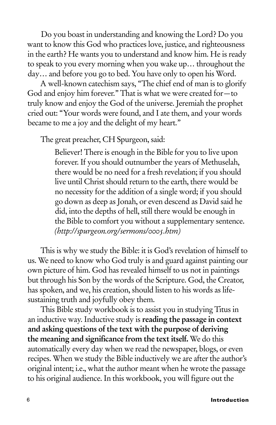Do you boast in understanding and knowing the Lord? Do you want to know this God who practices love, justice, and righteousness in the earth? He wants you to understand and know him. He is ready to speak to you every morning when you wake up… throughout the day… and before you go to bed. You have only to open his Word.

A well-known catechism says, "The chief end of man is to glorify God and enjoy him forever." That is what we were created for—to truly know and enjoy the God of the universe. Jeremiah the prophet cried out: "Your words were found, and I ate them, and your words became to me a joy and the delight of my heart."

The great preacher, CH Spurgeon, said:

Believer! There is enough in the Bible for you to live upon forever. If you should outnumber the years of Methuselah, there would be no need for a fresh revelation; if you should live until Christ should return to the earth, there would be no necessity for the addition of a single word; if you should go down as deep as Jonah, or even descend as David said he did, into the depths of hell, still there would be enough in the Bible to comfort you without a supplementary sentence. *(http://spurgeon.org/sermons/0005.htm)*

This is why we study the Bible: it is God's revelation of himself to us. We need to know who God truly is and guard against painting our own picture of him. God has revealed himself to us not in paintings but through his Son by the words of the Scripture. God, the Creator, has spoken, and we, his creation, should listen to his words as lifesustaining truth and joyfully obey them.

This Bible study workbook is to assist you in studying Titus in an inductive way. Inductive study is **reading the passage in context and asking questions of the text with the purpose of deriving the meaning and significance from the text itself.** We do this automatically every day when we read the newspaper, blogs, or even recipes. When we study the Bible inductively we are after the author's original intent; i.e., what the author meant when he wrote the passage to his original audience. In this workbook, you will figure out the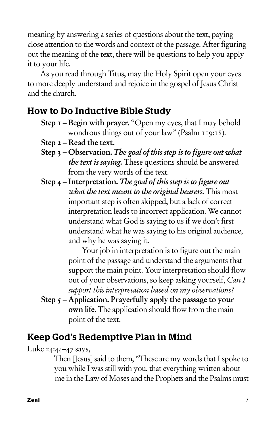meaning by answering a series of questions about the text, paying close attention to the words and context of the passage. After figuring out the meaning of the text, there will be questions to help you apply it to your life.

As you read through Titus, may the Holy Spirit open your eyes to more deeply understand and rejoice in the gospel of Jesus Christ and the church.

# How to Do Inductive Bible Study

- **Step 1 Begin with prayer.** "Open my eyes, that I may behold wondrous things out of your law" (Psalm 119:18).
- **Step 2 Read the text.**
- **Step 3 Observation.** *The goal of this step is to figure out what the text is saying.* These questions should be answered from the very words of the text.
- **Step 4 Interpretation.** *The goal of this step is to figure out what the text meant to the original hearers.* This most important step is often skipped, but a lack of correct interpretation leads to incorrect application. We cannot understand what God is saying to us if we don't first understand what he was saying to his original audience, and why he was saying it.

Your job in interpretation is to figure out the main point of the passage and understand the arguments that support the main point. Your interpretation should flow out of your observations, so keep asking yourself, *Can I support this interpretation based on my observations?*

**Step 5 – Application. Prayerfully apply the passage to your own life.** The application should flow from the main point of the text.

# Keep God's Redemptive Plan in Mind

#### Luke 24:44–47 says,

Then [Jesus] said to them, "These are my words that I spoke to you while I was still with you, that everything written about me in the Law of Moses and the Prophets and the Psalms must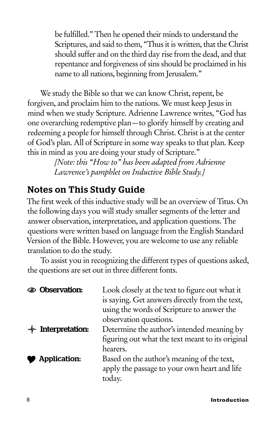be fulfilled." Then he opened their minds to understand the Scriptures, and said to them, "Thus it is written, that the Christ should suffer and on the third day rise from the dead, and that repentance and forgiveness of sins should be proclaimed in his name to all nations, beginning from Jerusalem."

We study the Bible so that we can know Christ, repent, be forgiven, and proclaim him to the nations. We must keep Jesus in mind when we study Scripture. Adrienne Lawrence writes, "God has one overarching redemptive plan—to glorify himself by creating and redeeming a people for himself through Christ. Christ is at the center of God's plan. All of Scripture in some way speaks to that plan. Keep this in mind as you are doing your study of Scripture."

> *[Note: this "How to" has been adapted from Adrienne Lawrence's pamphlet on Inductive Bible Study.]*

# Notes on This Study Guide

The first week of this inductive study will be an overview of Titus. On the following days you will study smaller segments of the letter and answer observation, interpretation, and application questions. The questions were written based on language from the English Standard Version of the Bible. However, you are welcome to use any reliable translation to do the study.

To assist you in recognizing the different types of questions asked, the questions are set out in three different fonts.

| <b>Solution:</b>    | Look closely at the text to figure out what it   |
|---------------------|--------------------------------------------------|
|                     | is saying. Get answers directly from the text,   |
|                     | using the words of Scripture to answer the       |
|                     | observation questions.                           |
| Interpretation:     | Determine the author's intended meaning by       |
|                     | figuring out what the text meant to its original |
|                     | hearers.                                         |
| <b>Application:</b> | Based on the author's meaning of the text,       |
|                     | apply the passage to your own heart and life     |
|                     | today.                                           |
|                     |                                                  |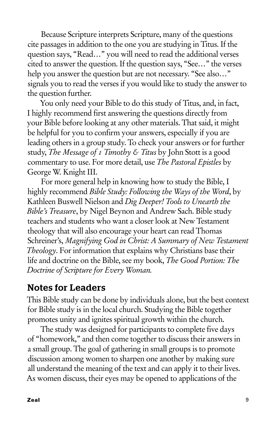Because Scripture interprets Scripture, many of the questions cite passages in addition to the one you are studying in Titus. If the question says, "Read…" you will need to read the additional verses cited to answer the question. If the question says, "See…" the verses help you answer the question but are not necessary. "See also..." signals you to read the verses if you would like to study the answer to the question further.

You only need your Bible to do this study of Titus, and, in fact, I highly recommend first answering the questions directly from your Bible before looking at any other materials. That said, it might be helpful for you to confirm your answers, especially if you are leading others in a group study. To check your answers or for further study, *The Message of 1 Timothy & Titus* by John Stott is a good commentary to use. For more detail, use *The Pastoral Epistles* by George W. Knight III.

For more general help in knowing how to study the Bible, I highly recommend *Bible Study: Following the Ways of the Word*, by Kathleen Buswell Nielson and *Dig Deeper! Tools to Unearth the Bible's Treasure*, by Nigel Beynon and Andrew Sach. Bible study teachers and students who want a closer look at New Testament theology that will also encourage your heart can read Thomas Schreiner's, *Magnifying God in Christ: A Summary of New Testament Theology*. For information that explains why Christians base their life and doctrine on the Bible, see my book, *The Good Portion: The Doctrine of Scripture for Every Woman.*

# Notes for Leaders

This Bible study can be done by individuals alone, but the best context for Bible study is in the local church. Studying the Bible together promotes unity and ignites spiritual growth within the church.

The study was designed for participants to complete five days of "homework," and then come together to discuss their answers in a small group. The goal of gathering in small groups is to promote discussion among women to sharpen one another by making sure all understand the meaning of the text and can apply it to their lives. As women discuss, their eyes may be opened to applications of the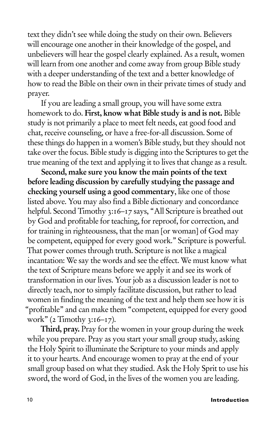text they didn't see while doing the study on their own. Believers will encourage one another in their knowledge of the gospel, and unbelievers will hear the gospel clearly explained. As a result, women will learn from one another and come away from group Bible study with a deeper understanding of the text and a better knowledge of how to read the Bible on their own in their private times of study and prayer.

If you are leading a small group, you will have some extra homework to do. **First, know what Bible study is and is not.** Bible study is not primarily a place to meet felt needs, eat good food and chat, receive counseling, or have a free-for-all discussion. Some of these things do happen in a women's Bible study, but they should not take over the focus. Bible study is digging into the Scriptures to get the true meaning of the text and applying it to lives that change as a result.

**Second, make sure you know the main points of the text before leading discussion by carefully studying the passage and checking yourself using a good commentary**, like one of those listed above. You may also find a Bible dictionary and concordance helpful. Second Timothy 3:16-17 says, "All Scripture is breathed out by God and profitable for teaching, for reproof, for correction, and for training in righteousness, that the man [or woman] of God may be competent, equipped for every good work." Scripture is powerful. That power comes through truth. Scripture is not like a magical incantation: We say the words and see the effect. We must know what the text of Scripture means before we apply it and see its work of transformation in our lives. Your job as a discussion leader is not to directly teach, nor to simply facilitate discussion, but rather to lead women in finding the meaning of the text and help them see how it is "profitable" and can make them "competent, equipped for every good work" (2 Timothy 3:16–17).

**Third, pray.** Pray for the women in your group during the week while you prepare. Pray as you start your small group study, asking the Holy Spirit to illuminate the Scripture to your minds and apply it to your hearts. And encourage women to pray at the end of your small group based on what they studied. Ask the Holy Sprit to use his sword, the word of God, in the lives of the women you are leading.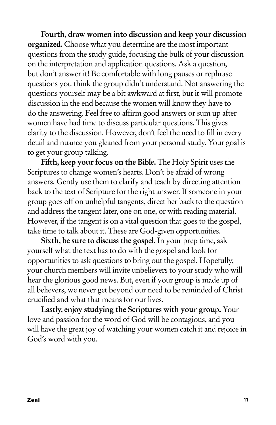**Fourth, draw women into discussion and keep your discussion organized.** Choose what you determine are the most important questions from the study guide, focusing the bulk of your discussion on the interpretation and application questions. Ask a question, but don't answer it! Be comfortable with long pauses or rephrase questions you think the group didn't understand. Not answering the questions yourself may be a bit awkward at first, but it will promote discussion in the end because the women will know they have to do the answering. Feel free to affirm good answers or sum up after women have had time to discuss particular questions. This gives clarity to the discussion. However, don't feel the need to fill in every detail and nuance you gleaned from your personal study. Your goal is to get your group talking.

**Fifth, keep your focus on the Bible.** The Holy Spirit uses the Scriptures to change women's hearts. Don't be afraid of wrong answers. Gently use them to clarify and teach by directing attention back to the text of Scripture for the right answer. If someone in your group goes off on unhelpful tangents, direct her back to the question and address the tangent later, one on one, or with reading material. However, if the tangent is on a vital question that goes to the gospel, take time to talk about it. These are God-given opportunities.

**Sixth, be sure to discuss the gospel.** In your prep time, ask yourself what the text has to do with the gospel and look for opportunities to ask questions to bring out the gospel. Hopefully, your church members will invite unbelievers to your study who will hear the glorious good news. But, even if your group is made up of all believers, we never get beyond our need to be reminded of Christ crucified and what that means for our lives.

**Lastly, enjoy studying the Scriptures with your group.** Your love and passion for the word of God will be contagious, and you will have the great joy of watching your women catch it and rejoice in God's word with you.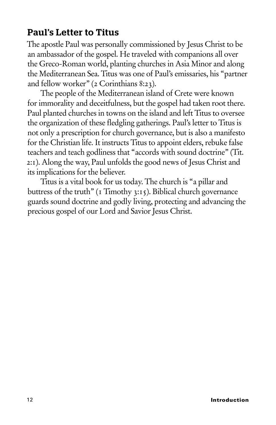# Paul's Letter to Titus

The apostle Paul was personally commissioned by Jesus Christ to be an ambassador of the gospel. He traveled with companions all over the Greco-Roman world, planting churches in Asia Minor and along the Mediterranean Sea. Titus was one of Paul's emissaries, his "partner and fellow worker" (2 Corinthians 8:23).

The people of the Mediterranean island of Crete were known for immorality and deceitfulness, but the gospel had taken root there. Paul planted churches in towns on the island and left Titus to oversee the organization of these fledgling gatherings. Paul's letter to Titus is not only a prescription for church governance, but is also a manifesto for the Christian life. It instructs Titus to appoint elders, rebuke false teachers and teach godliness that "accords with sound doctrine" (Tit. 2:1). Along the way, Paul unfolds the good news of Jesus Christ and its implications for the believer.

Titus is a vital book for us today. The church is "a pillar and buttress of the truth" (1 Timothy 3:15). Biblical church governance guards sound doctrine and godly living, protecting and advancing the precious gospel of our Lord and Savior Jesus Christ.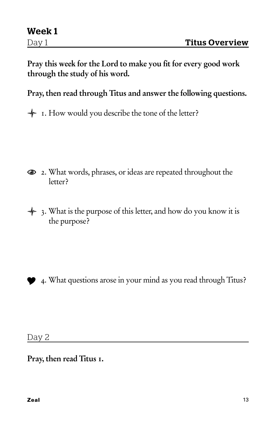**Pray this week for the Lord to make you fit for every good work through the study of his word.**

**Pray, then read through Titus and answer the following questions.**

 $\bigstar$  1. How would you describe the tone of the letter?

- 2. What words, phrases, or ideas are repeated throughout the letter?
- $\triangleq$  3. What is the purpose of this letter, and how do you know it is the purpose?

- - 4. What questions arose in your mind as you read through Titus?

Day 2

# **Pray, then read Titus 1.**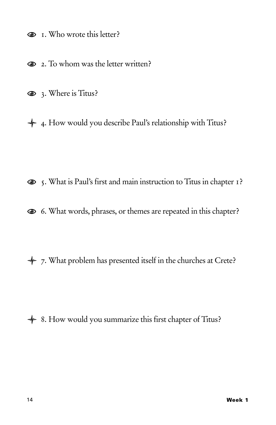- <sup>1</sup> 1. Who wrote this letter?
- 2. To whom was the letter written?
- <sup>3</sup>. Where is Titus?
- 4. How would you describe Paul's relationship with Titus?

- 5. What is Paul's first and main instruction to Titus in chapter 1?
- 6. What words, phrases, or themes are repeated in this chapter?
- 7. What problem has presented itself in the churches at Crete?

8. How would you summarize this first chapter of Titus?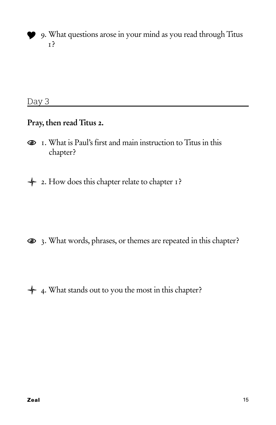

9. What questions arose in your mind as you read through Titus 1?

#### Day 3

## **Pray, then read Titus 2.**

- 1. What is Paul's first and main instruction to Titus in this chapter?
- <sup>2</sup> 2. How does this chapter relate to chapter 1?

- 3. What words, phrases, or themes are repeated in this chapter?
- $\bigoplus$  4. What stands out to you the most in this chapter?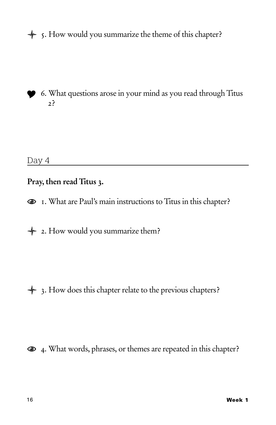$\triangleq$  5. How would you summarize the theme of this chapter?

6. What questions arose in your mind as you read through Titus 2?

Day 4

## **Pray, then read Titus 3.**

- 1. What are Paul's main instructions to Titus in this chapter?
- $\triangleq 2$ . How would you summarize them?

 $\triangleq$  3. How does this chapter relate to the previous chapters?

4. What words, phrases, or themes are repeated in this chapter?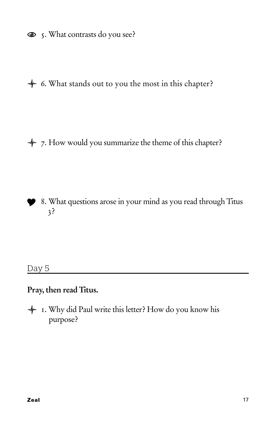- 5. What contrasts do you see?
- $\triangleq 6$ . What stands out to you the most in this chapter?

 $+$  7. How would you summarize the theme of this chapter?

8. What questions arose in your mind as you read through Titus 3?

#### Day 5

#### **Pray, then read Titus.**

 $\bigstar$  1. Why did Paul write this letter? How do you know his purpose?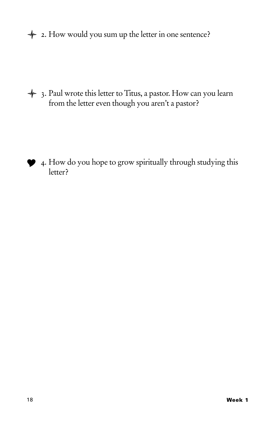$\triangleq 2$ . How would you sum up the letter in one sentence?

3. Paul wrote this letter to Titus, a pastor. How can you learn from the letter even though you aren't a pastor?



4. How do you hope to grow spiritually through studying this letter?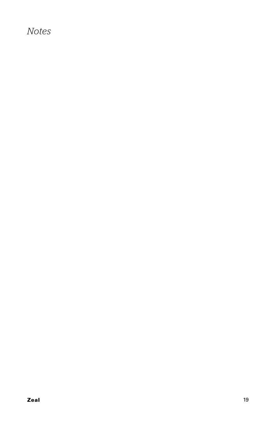# *Notes*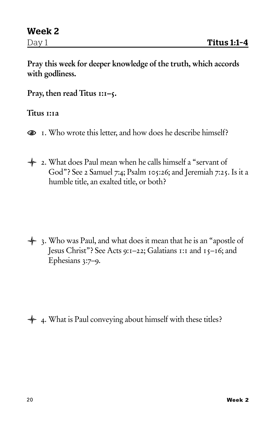**Pray this week for deeper knowledge of the truth, which accords with godliness.**

**Pray, then read Titus 1:1–5.**

# **Titus 1:1a**

- 1. Who wrote this letter, and how does he describe himself?
- $\triangleq$  2. What does Paul mean when he calls himself a "servant of God"? See 2 Samuel 7:4; Psalm 105:26; and Jeremiah 7:25. Is it a humble title, an exalted title, or both?

3. Who was Paul, and what does it mean that he is an "apostle of Jesus Christ"? See Acts 9:1–22; Galatians 1:1 and 15–16; and Ephesians 3:7–9.

 $\triangleq 4$ . What is Paul conveying about himself with these titles?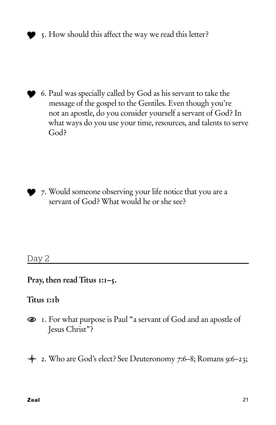5. How should this affect the way we read this letter?

6. Paul was specially called by God as his servant to take the message of the gospel to the Gentiles. Even though you're not an apostle, do you consider yourself a servant of God? In what ways do you use your time, resources, and talents to serve God?



7. Would someone observing your life notice that you are a servant of God? What would he or she see?

Day 2

**Pray, then read Titus 1:1–5.**

#### **Titus 1:1b**

- 1. For what purpose is Paul "a servant of God and an apostle of Jesus Christ"?
- 2. Who are God's elect? See Deuteronomy 7:6–8; Romans 9:6–23;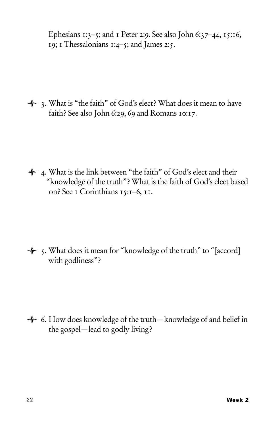Ephesians 1:3–5; and 1 Peter 2:9. See also John 6:37–44, 15:16, 19; 1 Thessalonians 1:4–5; and James 2:5.

3. What is "the faith" of God's elect? What does it mean to have faith? See also John 6:29, 69 and Romans 10:17.

4. What is the link between "the faith" of God's elect and their "knowledge of the truth"? What is the faith of God's elect based on? See 1 Corinthians 15:1-6, 11.

5. What does it mean for "knowledge of the truth" to "[accord] with godliness"?

 $\triangleq 6$ . How does knowledge of the truth—knowledge of and belief in the gospel—lead to godly living?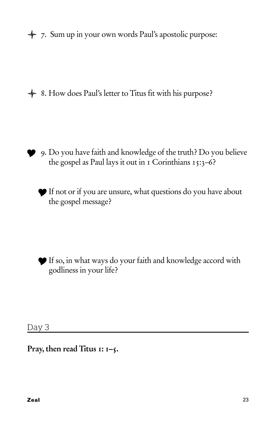$\div$  7. Sum up in your own words Paul's apostolic purpose:

 $\triangleq 8$ . How does Paul's letter to Titus fit with his purpose?

- 9. Do you have faith and knowledge of the truth? Do you believe the gospel as Paul lays it out in 1 Corinthians 15:3–6?
	- If not or if you are unsure, what questions do you have about the gospel message?

If so, in what ways do your faith and knowledge accord with godliness in your life?

Day 3

**Pray, then read Titus 1: 1–5.**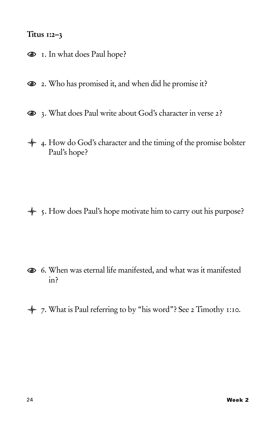#### **Titus 1:2–3**

- $\bullet$  I. In what does Paul hope?
- 2. Who has promised it, and when did he promise it?
- 3. What does Paul write about God's character in verse 2?
- $\triangleq 4$ . How do God's character and the timing of the promise bolster Paul's hope?

5. How does Paul's hope motivate him to carry out his purpose?

- 6. When was eternal life manifested, and what was it manifested in?
- 7. What is Paul referring to by "his word"? See 2 Timothy 1:10.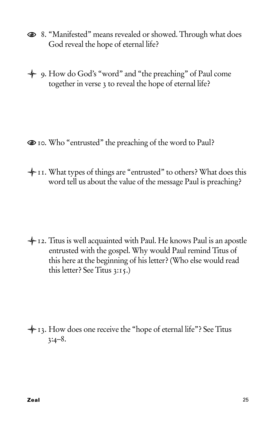- 8. "Manifested" means revealed or showed. Through what does God reveal the hope of eternal life?
- 9. How do God's "word" and "the preaching" of Paul come together in verse 3 to reveal the hope of eternal life?

- 10. Who "entrusted" the preaching of the word to Paul?
- 11. What types of things are "entrusted" to others? What does this word tell us about the value of the message Paul is preaching?

 $+$  12. Titus is well acquainted with Paul. He knows Paul is an apostle entrusted with the gospel. Why would Paul remind Titus of this here at the beginning of his letter? (Who else would read this letter? See Titus 3:15.)

 $+13$ . How does one receive the "hope of eternal life"? See Titus  $3:4-8.$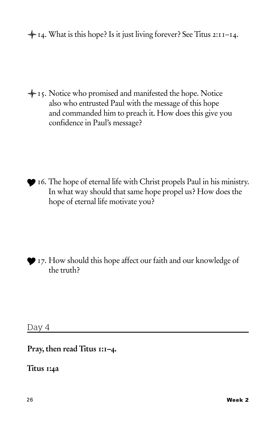$+$  14. What is this hope? Is it just living forever? See Titus 2:11–14.

 $+$ 15. Notice who promised and manifested the hope. Notice also who entrusted Paul with the message of this hope and commanded him to preach it. How does this give you confidence in Paul's message?



16. The hope of eternal life with Christ propels Paul in his ministry. In what way should that same hope propel us? How does the hope of eternal life motivate you?

17. How should this hope affect our faith and our knowledge of the truth?

Day 4

**Pray, then read Titus 1:1–4.**

**Titus 1:4a**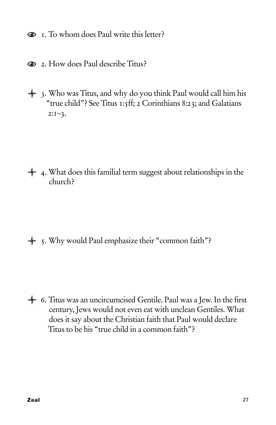- <sup>1</sup> To whom does Paul write this letter?
- <sup>2</sup> 2. How does Paul describe Titus?
- $\triangleq$  3. Who was Titus, and why do you think Paul would call him his "true child"? See Titus 1:5ff; 2 Corinthians 8:23; and Galatians  $2:1-3.$

 $\triangleq 4$ . What does this familial term suggest about relationships in the church?

5. Why would Paul emphasize their "common faith"?

 $\triangleq 6$ . Titus was an uncircumcised Gentile. Paul was a Jew. In the first century, Jews would not even eat with unclean Gentiles. What does it say about the Christian faith that Paul would declare Titus to be his "true child in a common faith"?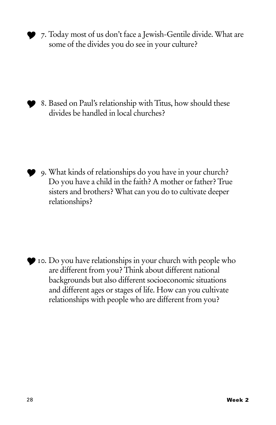7. Today most of us don't face a Jewish-Gentile divide. What are some of the divides you do see in your culture?

8. Based on Paul's relationship with Titus, how should these divides be handled in local churches?

9. What kinds of relationships do you have in your church? Do you have a child in the faith? A mother or father? True sisters and brothers? What can you do to cultivate deeper relationships?

10. Do you have relationships in your church with people who are different from you? Think about different national backgrounds but also different socioeconomic situations and different ages or stages of life. How can you cultivate relationships with people who are different from you?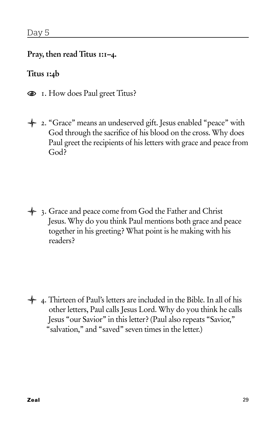## **Pray, then read Titus 1:1–4.**

# **Titus 1:4b**

- <sup>1</sup> I. How does Paul greet Titus?
- 2. "Grace" means an undeserved gift. Jesus enabled "peace" with God through the sacrifice of his blood on the cross. Why does Paul greet the recipients of his letters with grace and peace from God?

3. Grace and peace come from God the Father and Christ Jesus. Why do you think Paul mentions both grace and peace together in his greeting? What point is he making with his readers?

 $\triangleq$  4. Thirteen of Paul's letters are included in the Bible. In all of his other letters, Paul calls Jesus Lord. Why do you think he calls Jesus "our Savior" in this letter? (Paul also repeats "Savior," "salvation," and "saved" seven times in the letter.)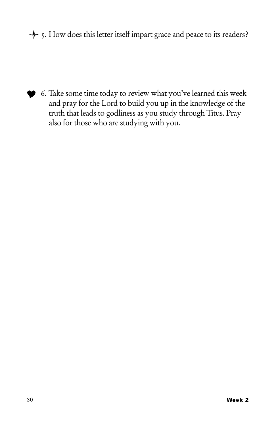5. How does this letter itself impart grace and peace to its readers?



6. Take some time today to review what you've learned this week and pray for the Lord to build you up in the knowledge of the truth that leads to godliness as you study through Titus. Pray also for those who are studying with you.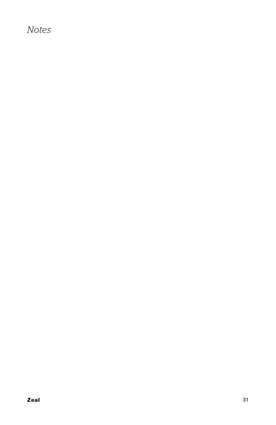# *Notes*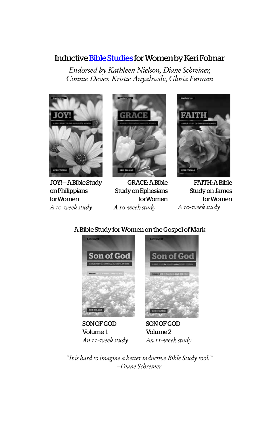#### Inductive [Bible Studies](https://cruciformpress.com/author-by-last-name/folmar/) for Women by Keri Folmar

*Endorsed by Kathleen Nielson, Diane Schreiner, Connie Dever, Kristie Anyabwile, Gloria Furman*





JOY! — A Bible Study on Philippians forWomen *A 10-week study*

GRACE: A Bible Study on Ephesians forWomen *A 10-week study*



FAITH: A Bible Study on James forWomen *A 10-week study*

#### A Bible Study for Women on the Gospel of Mark



SON OF GOD Volume 1 *An 11-week study*

SON OF GOD Volume 2 *An 11-week study*

*"It is hard to imagine a better inductive Bible Study tool." –Diane Schreiner*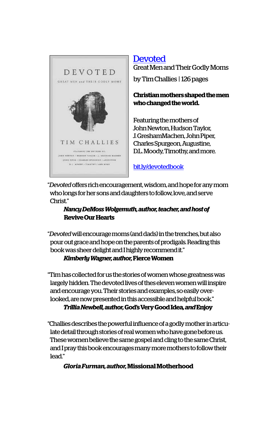

# [Devoted](http://bit.ly/devotedbook)

Great Men and Their Godly Moms by Tim Challies | 126 pages

#### **Christian mothers shaped the men who changed the world.**

Featuring the mothers of John Newton, Hudson Taylor, J. GreshamMachen, John Piper, Charles Spurgeon, Augustine, D.L. Moody, Timothy, and more.

#### [bit.ly/devotedbook](http://bit.ly/devotedbook)

"*Devoted* offers rich encouragement, wisdom, and hope for any mom who longs for her sons and daughters to follow, love, and serve Christ."

#### *Nancy DeMoss Wolgemuth, author, teacher, and host of*  **Revive Our Hearts**

"*Devoted* will encourage moms (and dads) in the trenches, but also pour out grace and hope on the parents of prodigals. Reading this book was sheer delight and I highly recommend it."

#### *Kimberly Wagner, author,* **Fierce Women**

"Tim has collected for us the stories of women whose greatness was largely hidden. The devoted lives of thes eleven women will inspire and encourage you. Their stories and examples, so easily overlooked, are now presented in this accessible and helpful book."

*Trillia Newbell, author,* **God's Very Good Idea***, and* **Enjoy**

"Challies describes the powerful influence of a godly mother in articulate detail through stories of real women who have gone before us. These women believe the same gospel and cling to the same Christ, and I pray this book encourages many more mothers to follow their lead."

#### *Gloria Furman, author,* **Missional Motherhood**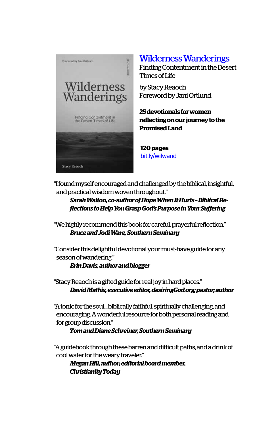

# [Wilderness Wanderings](http://bit.ly/wilwand)

Finding Contentment in the Desert Times of Life

by Stacy Reaoch Foreword by Jani Ortlund

**25 devotionals for women reflecting on our journey to the Promised Land** 

**120 pages**  [bit.ly/wilwand](http://bit.ly/wilwand)

"I found myself encouraged and challenged by the biblical, insightful, and practical wisdom woven throughout."

#### *Sarah Walton, co-author of Hope When It Hurts – Biblical Reflections to Help You Grasp God's Purpose in Your Suffering*

"We highly recommend this book for careful, prayerful reflection." *Bruce and Jodi Ware, Southern Seminary* 

"Consider this delightful devotional your must-have guide for any season of wandering."

*Erin Davis, author and blogger* 

"Stacy Reaoch is a gifted guide for real joy in hard places." *David Mathis, executive editor, desiringGod.org; pastor; author* 

"A tonic for the soul....biblically faithful, spiritually challenging, and encouraging. A wonderful resource for both personal reading and for group discussion."

*Tom and Diane Schreiner, Southern Seminary* 

"A guidebook through these barren and difficult paths, and a drink of cool water for the weary traveler."

*Megan Hill, author; editorial board member, Christianity Today*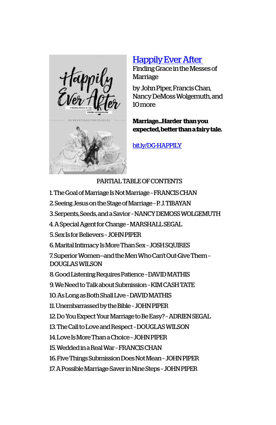

## [Happily Ever After](https://bit.ly/DG-HAPPILY)

Finding Grace in the Messes of Marriage

by John Piper, Francis Chan, Nancy DeMoss Wolgemuth, and 10 more

**Marriage...Harder than you expected, better than a fairy tale.**

[bit.ly/DG-HAPPILY](https://bit.ly/DG-HAPPILY)

#### PARTIAL TABLE OF CONTENTS

- 1. The Goal of Marriage Is Not Marriage FRANCIS CHAN 2. Seeing Jesus on the Stage of Marriage – P. J. TIBAYAN
- 3. Serpents, Seeds, and a Savior NANCY DEMOSS WOLGEMUTH
- 4. A Special Agent for Change MARSHALL SEGAL
- 5. Sex Is for Believers JOHN PIPER
- 6. Marital Intimacy Is More Than Sex JOSH SQUIRES

7. Superior Women—and the Men Who Can't Out-Give Them – DOUGLAS WILSON

8. Good Listening Requires Patience – DAVID MATHIS

9. We Need to Talk about Submission – KIM CASH TATE

10. As Long as Both Shall Live – DAVID MATHIS

11. Unembarrassed by the Bible – JOHN PIPER

12. Do You Expect Your Marriage to Be Easy? – ADRIEN SEGAL

13. The Call to Love and Respect – DOUGLAS WILSON

14. Love Is More Than a Choice – JOHN PIPER

15. Wedded in a Real War – FRANCIS CHAN

16. Five Things Submission Does Not Mean – JOHN PIPER

17. A Possible Marriage-Saver in Nine Steps – JOHN PIPER